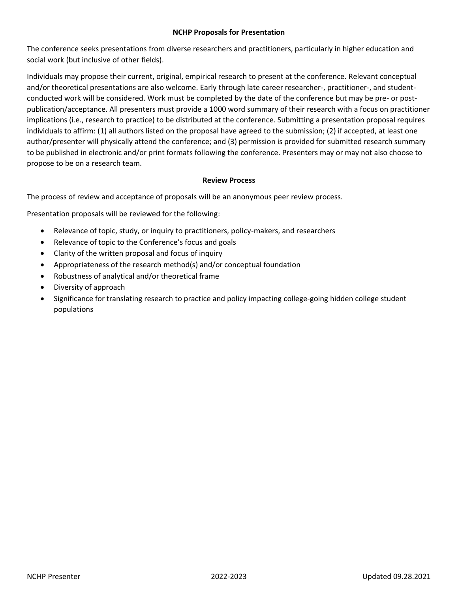#### **NCHP Proposals for Presentation**

The conference seeks presentations from diverse researchers and practitioners, particularly in higher education and social work (but inclusive of other fields).

Individuals may propose their current, original, empirical research to present at the conference. Relevant conceptual and/or theoretical presentations are also welcome. Early through late career researcher-, practitioner-, and studentconducted work will be considered. Work must be completed by the date of the conference but may be pre- or postpublication/acceptance. All presenters must provide a 1000 word summary of their research with a focus on practitioner implications (i.e., research to practice) to be distributed at the conference. Submitting a presentation proposal requires individuals to affirm: (1) all authors listed on the proposal have agreed to the submission; (2) if accepted, at least one author/presenter will physically attend the conference; and (3) permission is provided for submitted research summary to be published in electronic and/or print formats following the conference. Presenters may or may not also choose to propose to be on a research team.

### **Review Process**

The process of review and acceptance of proposals will be an anonymous peer review process.

Presentation proposals will be reviewed for the following:

- Relevance of topic, study, or inquiry to practitioners, policy-makers, and researchers
- Relevance of topic to the Conference's focus and goals
- Clarity of the written proposal and focus of inquiry
- Appropriateness of the research method(s) and/or conceptual foundation
- Robustness of analytical and/or theoretical frame
- Diversity of approach
- Significance for translating research to practice and policy impacting college-going hidden college student populations